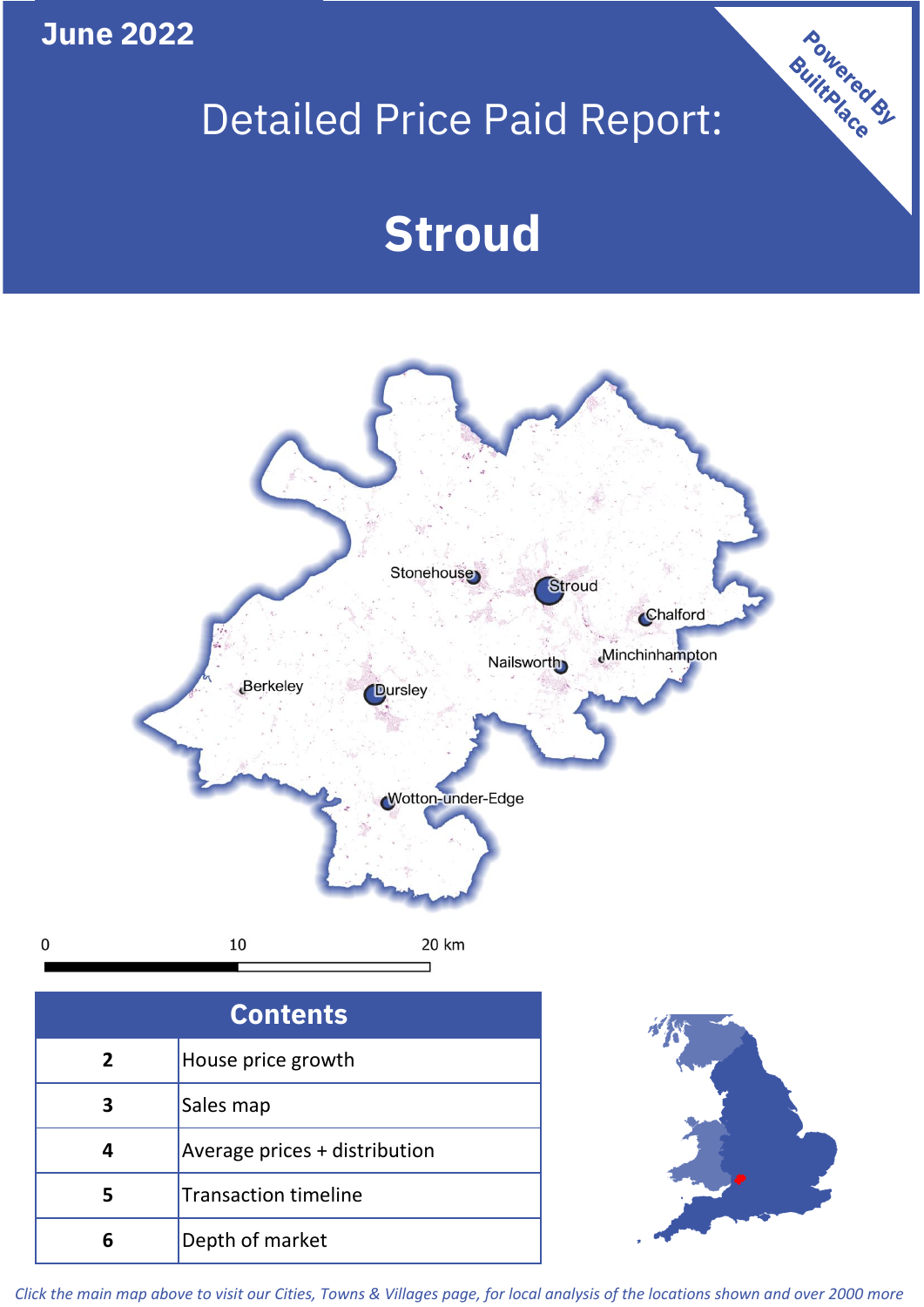**June 2022**

**5**

**4**

## Detailed Price Paid Report:

Powered By

# **Stroud**



*Click the main map above to visit our Cities, Towns & Villages page, for local analysis of the locations shown and over 2000 more*

Average prices + distribution

Transaction timeline

**6** Depth of market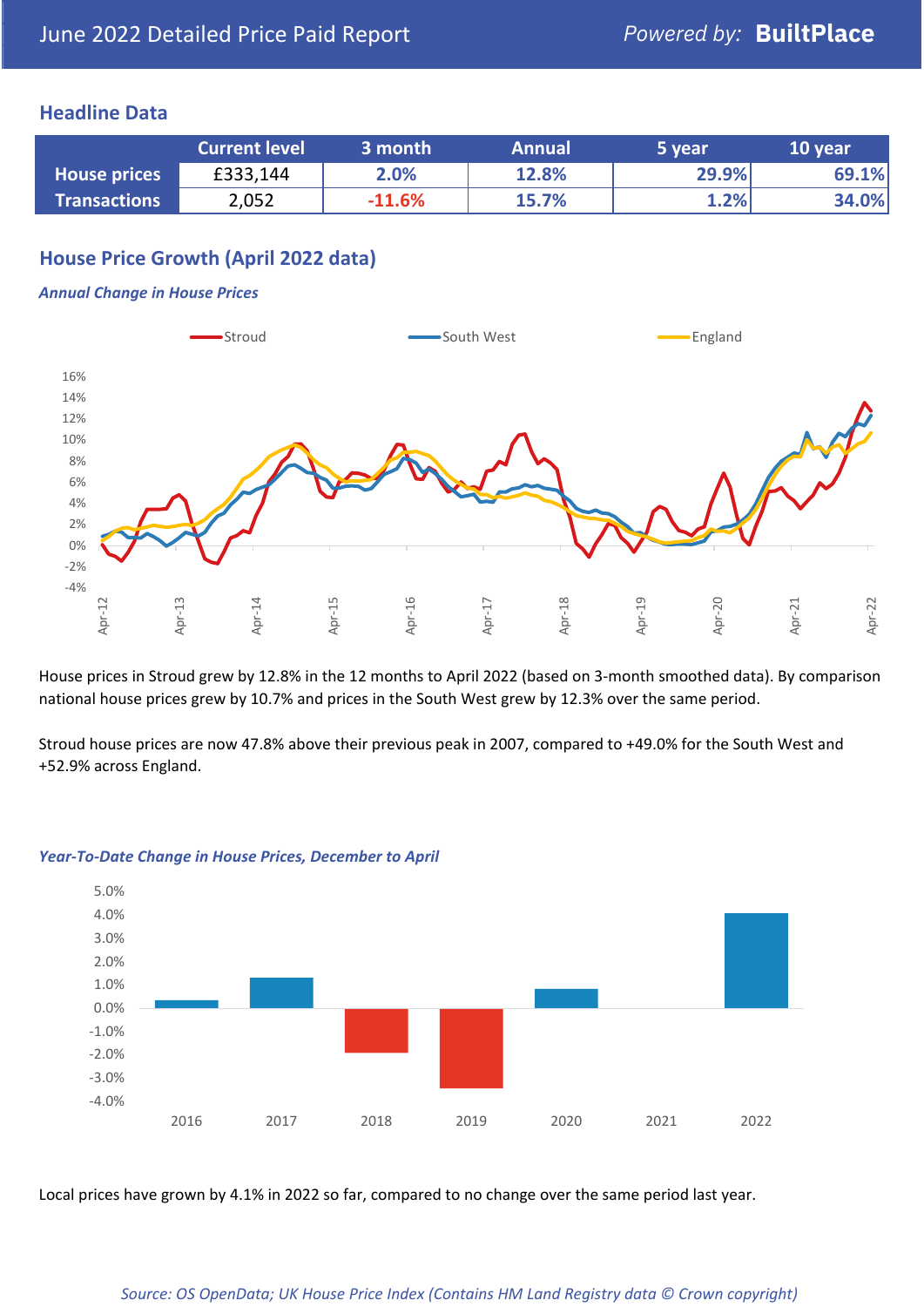### **Headline Data**

|                     | <b>Current level</b> | 3 month  | <b>Annual</b> | 5 year | 10 year |
|---------------------|----------------------|----------|---------------|--------|---------|
| <b>House prices</b> | £333,144             | 2.0%     | 12.8%         | 29.9%  | 69.1%   |
| <b>Transactions</b> | 2,052                | $-11.6%$ | 15.7%         | 1.2%   | 34.0%   |

## **House Price Growth (April 2022 data)**

#### *Annual Change in House Prices*



House prices in Stroud grew by 12.8% in the 12 months to April 2022 (based on 3-month smoothed data). By comparison national house prices grew by 10.7% and prices in the South West grew by 12.3% over the same period.

Stroud house prices are now 47.8% above their previous peak in 2007, compared to +49.0% for the South West and +52.9% across England.



#### *Year-To-Date Change in House Prices, December to April*

Local prices have grown by 4.1% in 2022 so far, compared to no change over the same period last year.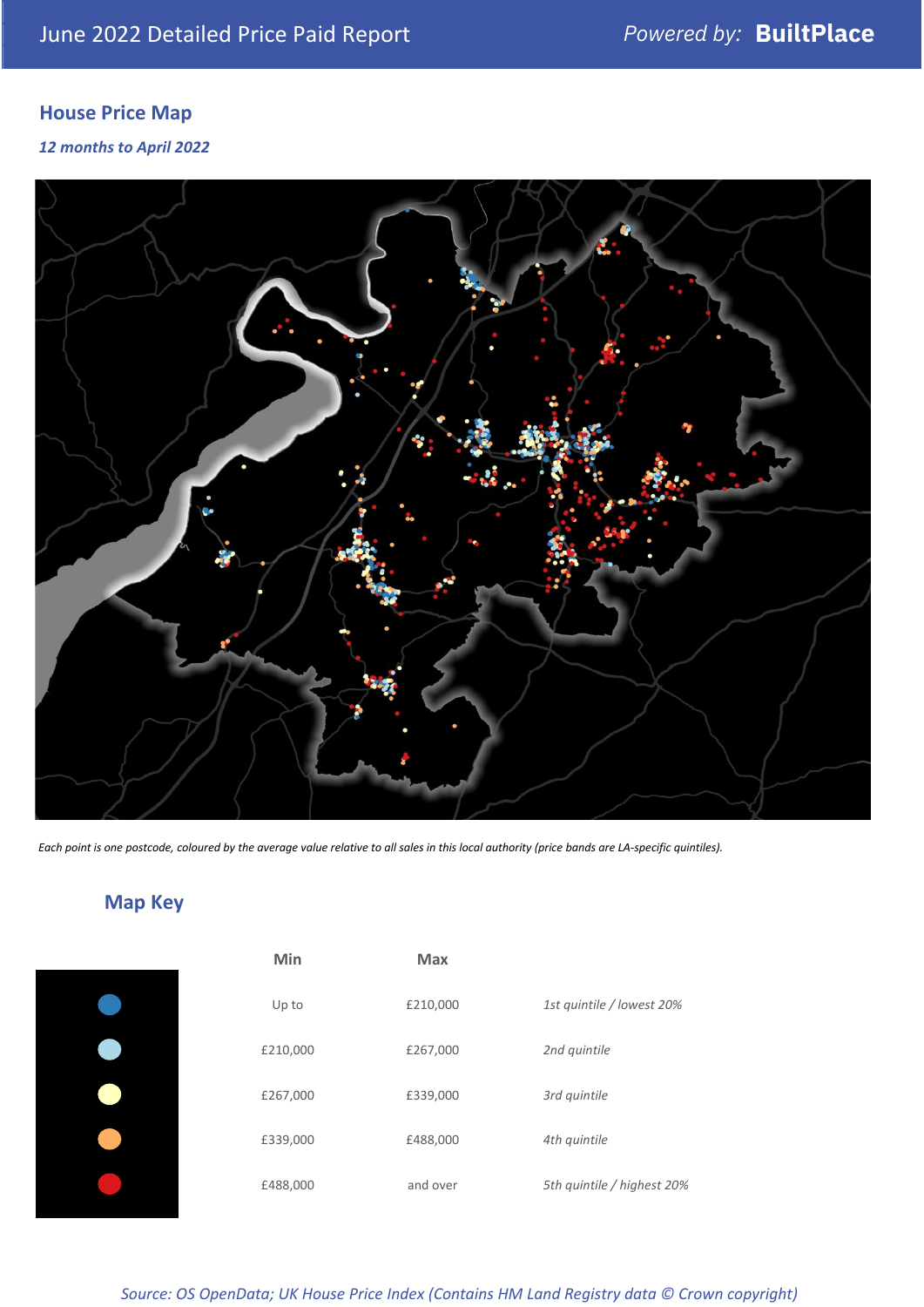## **House Price Map**

#### *12 months to April 2022*



*Each point is one postcode, coloured by the average value relative to all sales in this local authority (price bands are LA-specific quintiles).*

## **Map Key**

| Min      | <b>Max</b> |                            |
|----------|------------|----------------------------|
| Up to    | £210,000   | 1st quintile / lowest 20%  |
| £210,000 | £267,000   | 2nd quintile               |
| £267,000 | £339,000   | 3rd quintile               |
| £339,000 | £488,000   | 4th quintile               |
| £488,000 | and over   | 5th quintile / highest 20% |
|          |            |                            |

*Source: OS OpenData; UK House Price Index (Contains HM Land Registry data © Crown copyright)*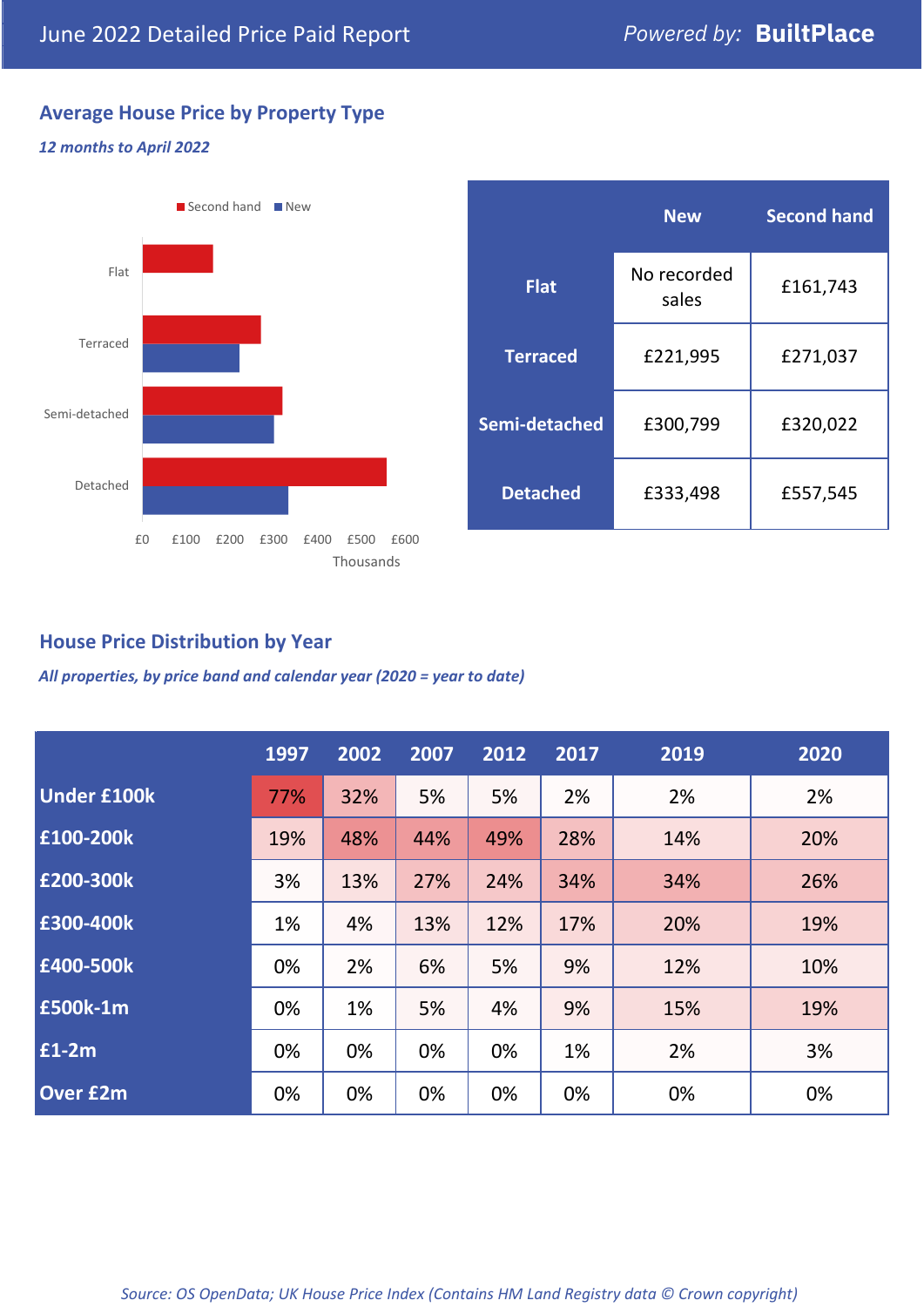## **Average House Price by Property Type**

#### *12 months to April 2022*



|                 | <b>New</b>           | <b>Second hand</b> |  |
|-----------------|----------------------|--------------------|--|
| <b>Flat</b>     | No recorded<br>sales | £161,743           |  |
| <b>Terraced</b> | £221,995             | £271,037           |  |
| Semi-detached   | £300,799             | £320,022           |  |
| <b>Detached</b> | £333,498             | £557,545           |  |

## **House Price Distribution by Year**

*All properties, by price band and calendar year (2020 = year to date)*

|                    | 1997 | 2002 | 2007 | 2012 | 2017 | 2019 | 2020 |
|--------------------|------|------|------|------|------|------|------|
| <b>Under £100k</b> | 77%  | 32%  | 5%   | 5%   | 2%   | 2%   | 2%   |
| £100-200k          | 19%  | 48%  | 44%  | 49%  | 28%  | 14%  | 20%  |
| £200-300k          | 3%   | 13%  | 27%  | 24%  | 34%  | 34%  | 26%  |
| £300-400k          | 1%   | 4%   | 13%  | 12%  | 17%  | 20%  | 19%  |
| £400-500k          | 0%   | 2%   | 6%   | 5%   | 9%   | 12%  | 10%  |
| <b>£500k-1m</b>    | 0%   | 1%   | 5%   | 4%   | 9%   | 15%  | 19%  |
| £1-2m              | 0%   | 0%   | 0%   | 0%   | 1%   | 2%   | 3%   |
| <b>Over £2m</b>    | 0%   | 0%   | 0%   | 0%   | 0%   | 0%   | 0%   |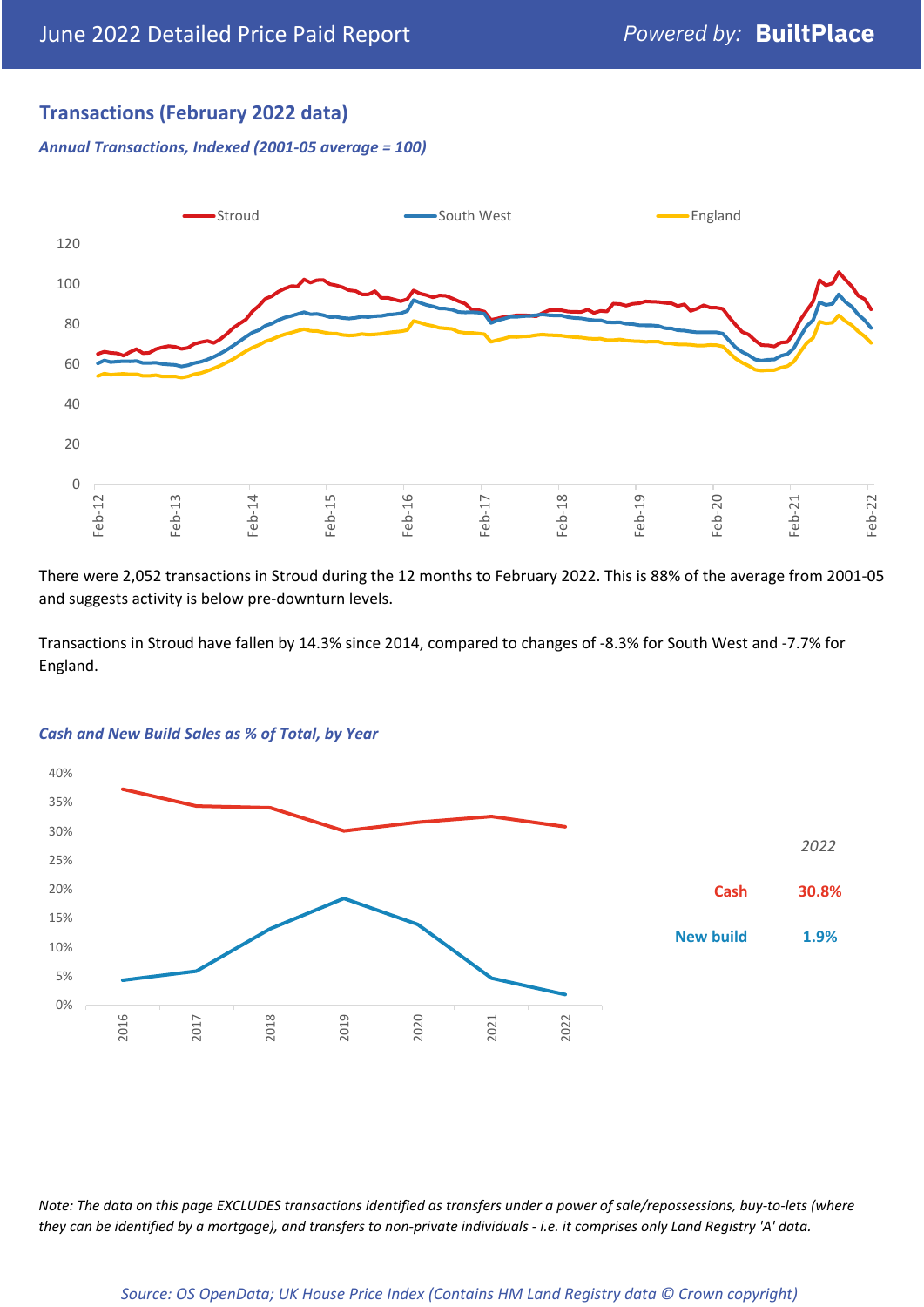## **Transactions (February 2022 data)**

*Annual Transactions, Indexed (2001-05 average = 100)*



There were 2,052 transactions in Stroud during the 12 months to February 2022. This is 88% of the average from 2001-05 and suggests activity is below pre-downturn levels.

Transactions in Stroud have fallen by 14.3% since 2014, compared to changes of -8.3% for South West and -7.7% for England.



#### *Cash and New Build Sales as % of Total, by Year*

*Note: The data on this page EXCLUDES transactions identified as transfers under a power of sale/repossessions, buy-to-lets (where they can be identified by a mortgage), and transfers to non-private individuals - i.e. it comprises only Land Registry 'A' data.*